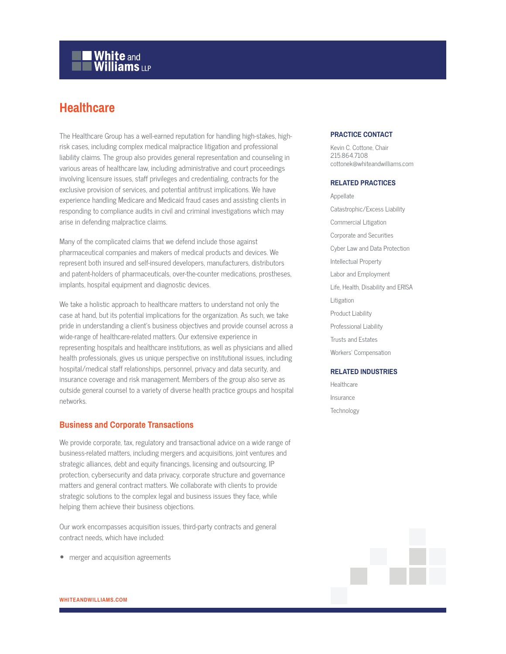# **White and Williams LLP**

### **Healthcare**

The Healthcare Group has a well-earned reputation for handling high-stakes, highrisk cases, including complex medical malpractice litigation and professional liability claims. The group also provides general representation and counseling in various areas of healthcare law, including administrative and court proceedings involving licensure issues, staff privileges and credentialing, contracts for the exclusive provision of services, and potential antitrust implications. We have experience handling Medicare and Medicaid fraud cases and assisting clients in responding to compliance audits in civil and criminal investigations which may arise in defending malpractice claims.

Many of the complicated claims that we defend include those against pharmaceutical companies and makers of medical products and devices. We represent both insured and self-insured developers, manufacturers, distributors and patent-holders of pharmaceuticals, over-the-counter medications, prostheses, implants, hospital equipment and diagnostic devices.

We take a holistic approach to healthcare matters to understand not only the case at hand, but its potential implications for the organization. As such, we take pride in understanding a client's business objectives and provide counsel across a wide-range of healthcare-related matters. Our extensive experience in representing hospitals and healthcare institutions, as well as physicians and allied health professionals, gives us unique perspective on institutional issues, including hospital/medical staff relationships, personnel, privacy and data security, and insurance coverage and risk management. Members of the group also serve as outside general counsel to a variety of diverse health practice groups and hospital networks.

#### **Business and Corporate Transactions**

We provide corporate, tax, regulatory and transactional advice on a wide range of business-related matters, including mergers and acquisitions, joint ventures and strategic alliances, debt and equity financings, licensing and outsourcing, IP protection, cybersecurity and data privacy, corporate structure and governance matters and general contract matters. We collaborate with clients to provide strategic solutions to the complex legal and business issues they face, while helping them achieve their business objections.

Our work encompasses acquisition issues, third-party contracts and general contract needs, which have included:

● merger and acquisition agreements

### **PRACTICE CONTACT**

Kevin C. Cottone, Chair 215.864.7108 cottonek@whiteandwilliams.com

#### **RELATED PRACTICES**

Appellate Catastrophic/Excess Liability Commercial Litigation Corporate and Securities Cyber Law and Data Protection Intellectual Property Labor and Employment Life, Health, Disability and ERISA Litigation Product Liability Professional Liability Trusts and Estates Workers' Compensation

#### **RELATED INDUSTRIES**

Healthcare Insurance Technology

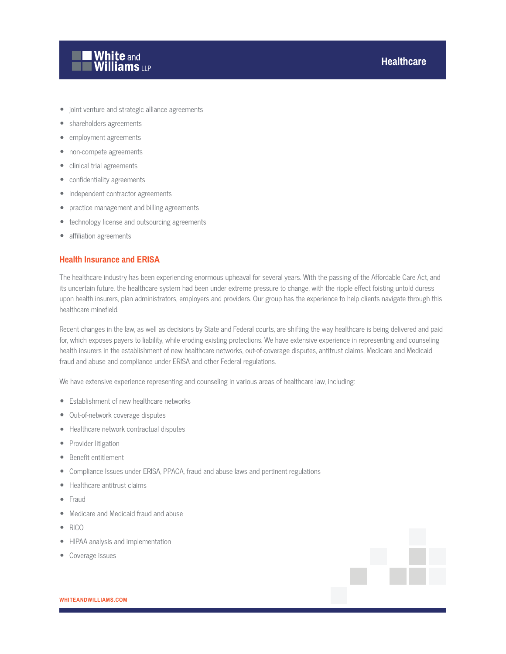

- joint venture and strategic alliance agreements
- shareholders agreements
- employment agreements
- non-compete agreements
- clinical trial agreements
- confidentiality agreements
- independent contractor agreements
- practice management and billing agreements
- technology license and outsourcing agreements
- affiliation agreements

#### **Health Insurance and ERISA**

The healthcare industry has been experiencing enormous upheaval for several years. With the passing of the Affordable Care Act, and its uncertain future, the healthcare system had been under extreme pressure to change, with the ripple effect foisting untold duress upon health insurers, plan administrators, employers and providers. Our group has the experience to help clients navigate through this healthcare minefield.

Recent changes in the law, as well as decisions by State and Federal courts, are shifting the way healthcare is being delivered and paid for, which exposes payers to liability, while eroding existing protections. We have extensive experience in representing and counseling health insurers in the establishment of new healthcare networks, out-of-coverage disputes, antitrust claims, Medicare and Medicaid fraud and abuse and compliance under ERISA and other Federal regulations.

We have extensive experience representing and counseling in various areas of healthcare law, including:

- Establishment of new healthcare networks
- Out-of-network coverage disputes
- Healthcare network contractual disputes
- Provider litigation
- Benefit entitlement
- Compliance Issues under ERISA, PPACA, fraud and abuse laws and pertinent regulations
- Healthcare antitrust claims
- **Fraud**
- Medicare and Medicaid fraud and abuse
- RICO
- HIPAA analysis and implementation
- Coverage issues



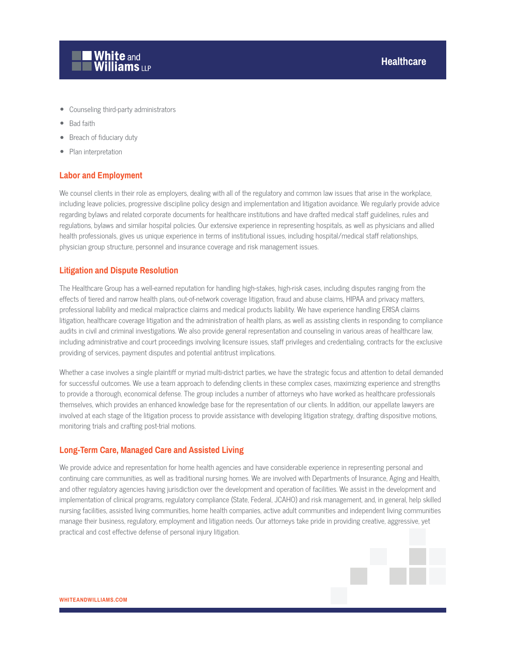

- Counseling third-party administrators
- Bad faith
- Breach of fiduciary duty
- Plan interpretation

#### **Labor and Employment**

We counsel clients in their role as employers, dealing with all of the regulatory and common law issues that arise in the workplace, including leave policies, progressive discipline policy design and implementation and litigation avoidance. We regularly provide advice regarding bylaws and related corporate documents for healthcare institutions and have drafted medical staff guidelines, rules and regulations, bylaws and similar hospital policies. Our extensive experience in representing hospitals, as well as physicians and allied health professionals, gives us unique experience in terms of institutional issues, including hospital/medical staff relationships, physician group structure, personnel and insurance coverage and risk management issues.

#### **Litigation and Dispute Resolution**

The Healthcare Group has a well-earned reputation for handling high-stakes, high-risk cases, including disputes ranging from the effects of tiered and narrow health plans, out-of-network coverage litigation, fraud and abuse claims, HIPAA and privacy matters, professional liability and medical malpractice claims and medical products liability. We have experience handling ERISA claims litigation, healthcare coverage litigation and the administration of health plans, as well as assisting clients in responding to compliance audits in civil and criminal investigations. We also provide general representation and counseling in various areas of healthcare law, including administrative and court proceedings involving licensure issues, staff privileges and credentialing, contracts for the exclusive providing of services, payment disputes and potential antitrust implications.

Whether a case involves a single plaintiff or myriad multi-district parties, we have the strategic focus and attention to detail demanded for successful outcomes. We use a team approach to defending clients in these complex cases, maximizing experience and strengths to provide a thorough, economical defense. The group includes a number of attorneys who have worked as healthcare professionals themselves, which provides an enhanced knowledge base for the representation of our clients. In addition, our appellate lawyers are involved at each stage of the litigation process to provide assistance with developing litigation strategy, drafting dispositive motions, monitoring trials and crafting post-trial motions.

#### **Long-Term Care, Managed Care and Assisted Living**

We provide advice and representation for home health agencies and have considerable experience in representing personal and continuing care communities, as well as traditional nursing homes. We are involved with Departments of Insurance, Aging and Health, and other regulatory agencies having jurisdiction over the development and operation of facilities. We assist in the development and implementation of clinical programs, regulatory compliance (State, Federal, JCAHO) and risk management, and, in general, help skilled nursing facilities, assisted living communities, home health companies, active adult communities and independent living communities manage their business, regulatory, employment and litigation needs. Our attorneys take pride in providing creative, aggressive, yet practical and cost effective defense of personal injury litigation.

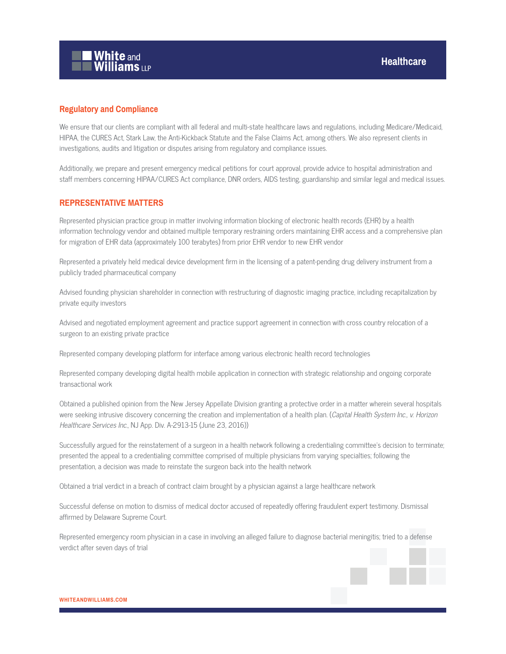

#### **Regulatory and Compliance**

We ensure that our clients are compliant with all federal and multi-state healthcare laws and regulations, including Medicare/Medicaid, HIPAA, the CURES Act, Stark Law, the Anti-Kickback Statute and the False Claims Act, among others. We also represent clients in investigations, audits and litigation or disputes arising from regulatory and compliance issues.

Additionally, we prepare and present emergency medical petitions for court approval, provide advice to hospital administration and staff members concerning HIPAA/CURES Act compliance, DNR orders, AIDS testing, guardianship and similar legal and medical issues.

#### **REPRESENTATIVE MATTERS**

Represented physician practice group in matter involving information blocking of electronic health records (EHR) by a health information technology vendor and obtained multiple temporary restraining orders maintaining EHR access and a comprehensive plan for migration of EHR data (approximately 100 terabytes) from prior EHR vendor to new EHR vendor

Represented a privately held medical device development firm in the licensing of a patent-pending drug delivery instrument from a publicly traded pharmaceutical company

Advised founding physician shareholder in connection with restructuring of diagnostic imaging practice, including recapitalization by private equity investors

Advised and negotiated employment agreement and practice support agreement in connection with cross country relocation of a surgeon to an existing private practice

Represented company developing platform for interface among various electronic health record technologies

Represented company developing digital health mobile application in connection with strategic relationship and ongoing corporate transactional work

Obtained a published opinion from the New Jersey Appellate Division granting a protective order in a matter wherein several hospitals were seeking intrusive discovery concerning the creation and implementation of a health plan. (Capital Health System Inc., v. Horizon Healthcare Services Inc., NJ App. Div. A-2913-15 (June 23, 2016))

Successfully argued for the reinstatement of a surgeon in a health network following a credentialing committee's decision to terminate; presented the appeal to a credentialing committee comprised of multiple physicians from varying specialties; following the presentation, a decision was made to reinstate the surgeon back into the health network

Obtained a trial verdict in a breach of contract claim brought by a physician against a large healthcare network

Successful defense on motion to dismiss of medical doctor accused of repeatedly offering fraudulent expert testimony. Dismissal affirmed by Delaware Supreme Court.

Represented emergency room physician in a case in involving an alleged failure to diagnose bacterial meningitis; tried to a defense verdict after seven days of trial

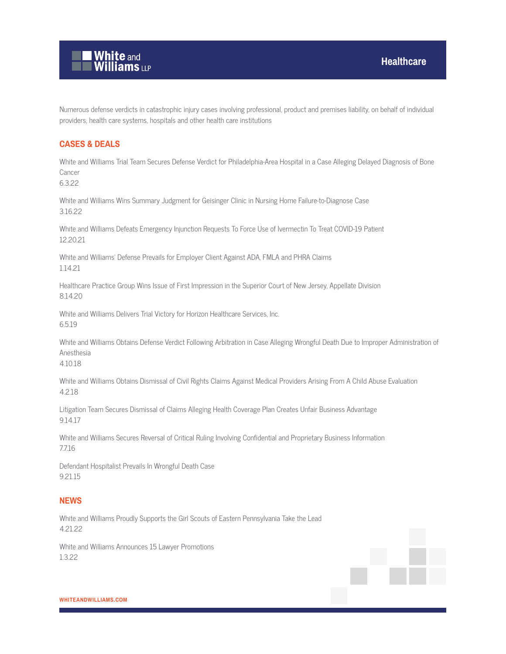

Numerous defense verdicts in catastrophic injury cases involving professional, product and premises liability, on behalf of individual providers, health care systems, hospitals and other health care institutions

#### **CASES & DEALS**

White and Williams Trial Team Secures Defense Verdict for Philadelphia-Area Hospital in a Case Alleging Delayed Diagnosis of Bone Cancer

6.3.22

White and Williams Wins Summary Judgment for Geisinger Clinic in Nursing Home Failure-to-Diagnose Case 3.16.22

White and Williams Defeats Emergency Injunction Requests To Force Use of Ivermectin To Treat COVID-19 Patient 12.20.21

White and Williams' Defense Prevails for Employer Client Against ADA, FMLA and PHRA Claims 1.14.21

Healthcare Practice Group Wins Issue of First Impression in the Superior Court of New Jersey, Appellate Division 8.14.20

White and Williams Delivers Trial Victory for Horizon Healthcare Services, Inc. 6.5.19

White and Williams Obtains Defense Verdict Following Arbitration in Case Alleging Wrongful Death Due to Improper Administration of Anesthesia

4.10.18

White and Williams Obtains Dismissal of Civil Rights Claims Against Medical Providers Arising From A Child Abuse Evaluation 4.2.18

Litigation Team Secures Dismissal of Claims Alleging Health Coverage Plan Creates Unfair Business Advantage 9.14.17

White and Williams Secures Reversal of Critical Ruling Involving Confidential and Proprietary Business Information 7.7.16

Defendant Hospitalist Prevails In Wrongful Death Case 9.21.15

#### **NEWS**

White and Williams Proudly Supports the Girl Scouts of Eastern Pennsylvania Take the Lead 4.21.22

White and Williams Announces 15 Lawyer Promotions 1.3.22

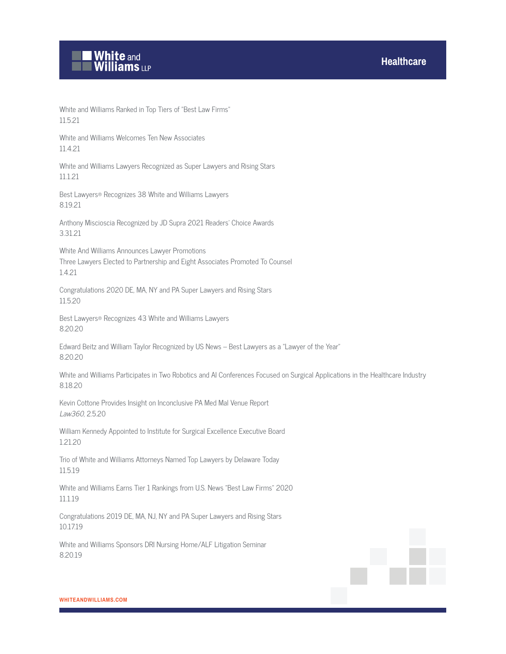

White and Williams Ranked in Top Tiers of "Best Law Firms" 11.5.21

White and Williams Welcomes Ten New Associates 11.4.21

White and Williams Lawyers Recognized as Super Lawyers and Rising Stars 11.1.21

Best Lawyers® Recognizes 38 White and Williams Lawyers 8.19.21

Anthony Miscioscia Recognized by JD Supra 2021 Readers' Choice Awards 3.31.21

White And Williams Announces Lawyer Promotions Three Lawyers Elected to Partnership and Eight Associates Promoted To Counsel 1.4.21

Congratulations 2020 DE, MA, NY and PA Super Lawyers and Rising Stars 11.5.20

Best Lawyers® Recognizes 43 White and Williams Lawyers 8.20.20

Edward Beitz and William Taylor Recognized by US News – Best Lawyers as a "Lawyer of the Year" 8.20.20

White and Williams Participates in Two Robotics and AI Conferences Focused on Surgical Applications in the Healthcare Industry 8.18.20

Kevin Cottone Provides Insight on Inconclusive PA Med Mal Venue Report Law360, 2.5.20

William Kennedy Appointed to Institute for Surgical Excellence Executive Board 1.21.20

Trio of White and Williams Attorneys Named Top Lawyers by Delaware Today 11.5.19

White and Williams Earns Tier 1 Rankings from U.S. News "Best Law Firms" 2020 11.1.19

Congratulations 2019 DE, MA, NJ, NY and PA Super Lawyers and Rising Stars 10.17.19

White and Williams Sponsors DRI Nursing Home/ALF Litigation Seminar 8.20.19

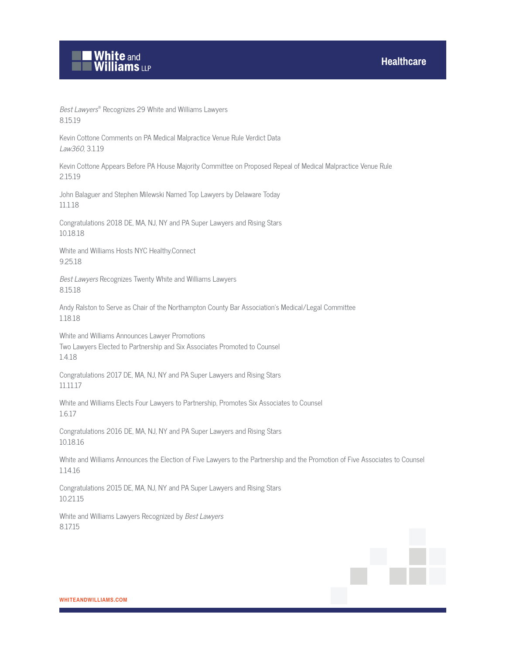

Best Lawyers® Recognizes 29 White and Williams Lawyers 8.15.19

Kevin Cottone Comments on PA Medical Malpractice Venue Rule Verdict Data Law360, 3.1.19

Kevin Cottone Appears Before PA House Majority Committee on Proposed Repeal of Medical Malpractice Venue Rule 2.15.19

John Balaguer and Stephen Milewski Named Top Lawyers by Delaware Today 11.1.18

Congratulations 2018 DE, MA, NJ, NY and PA Super Lawyers and Rising Stars 10.18.18

White and Williams Hosts NYC Healthy.Connect 9.25.18

Best Lawyers Recognizes Twenty White and Williams Lawyers 8.15.18

Andy Ralston to Serve as Chair of the Northampton County Bar Association's Medical/Legal Committee 1.18.18

White and Williams Announces Lawyer Promotions Two Lawyers Elected to Partnership and Six Associates Promoted to Counsel 1.4.18

Congratulations 2017 DE, MA, NJ, NY and PA Super Lawyers and Rising Stars 11.11.17

White and Williams Elects Four Lawyers to Partnership, Promotes Six Associates to Counsel 1.6.17

Congratulations 2016 DE, MA, NJ, NY and PA Super Lawyers and Rising Stars 10.18.16

White and Williams Announces the Election of Five Lawyers to the Partnership and the Promotion of Five Associates to Counsel 1.14.16

Congratulations 2015 DE, MA, NJ, NY and PA Super Lawyers and Rising Stars 10.21.15

White and Williams Lawyers Recognized by Best Lawyers 8.17.15

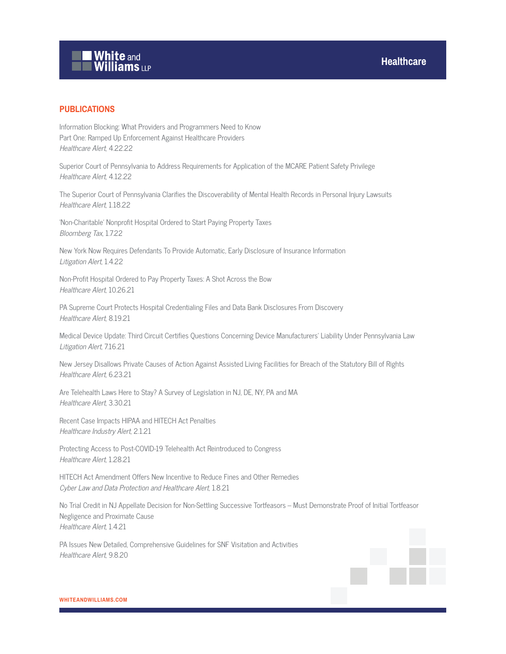# White and<br>Williams LLP

### **PUBLICATIONS**

Information Blocking: What Providers and Programmers Need to Know Part One: Ramped Up Enforcement Against Healthcare Providers Healthcare Alert, 4.22.22

Superior Court of Pennsylvania to Address Requirements for Application of the MCARE Patient Safety Privilege Healthcare Alert, 4.12.22

The Superior Court of Pennsylvania Clarifies the Discoverability of Mental Health Records in Personal Injury Lawsuits Healthcare Alert, 1.18.22

'Non-Charitable' Nonprofit Hospital Ordered to Start Paying Property Taxes Bloomberg Tax, 1.7.22

New York Now Requires Defendants To Provide Automatic, Early Disclosure of Insurance Information Litigation Alert, 1.4.22

Non-Profit Hospital Ordered to Pay Property Taxes: A Shot Across the Bow Healthcare Alert, 10.26.21

PA Supreme Court Protects Hospital Credentialing Files and Data Bank Disclosures From Discovery Healthcare Alert, 8.19.21

Medical Device Update: Third Circuit Certifies Questions Concerning Device Manufacturers' Liability Under Pennsylvania Law Litigation Alert, 7.16.21

New Jersey Disallows Private Causes of Action Against Assisted Living Facilities for Breach of the Statutory Bill of Rights Healthcare Alert, 6.23.21

Are Telehealth Laws Here to Stay? A Survey of Legislation in NJ, DE, NY, PA and MA Healthcare Alert, 3.30.21

Recent Case Impacts HIPAA and HITECH Act Penalties Healthcare Industry Alert, 2.1.21

Protecting Access to Post-COVID-19 Telehealth Act Reintroduced to Congress Healthcare Alert, 1.28.21

HITECH Act Amendment Offers New Incentive to Reduce Fines and Other Remedies Cyber Law and Data Protection and Healthcare Alert, 1.8.21

No Trial Credit in NJ Appellate Decision for Non-Settling Successive Tortfeasors – Must Demonstrate Proof of Initial Tortfeasor Negligence and Proximate Cause Healthcare Alert, 1.4.21

PA Issues New Detailed, Comprehensive Guidelines for SNF Visitation and Activities Healthcare Alert, 9.8.20

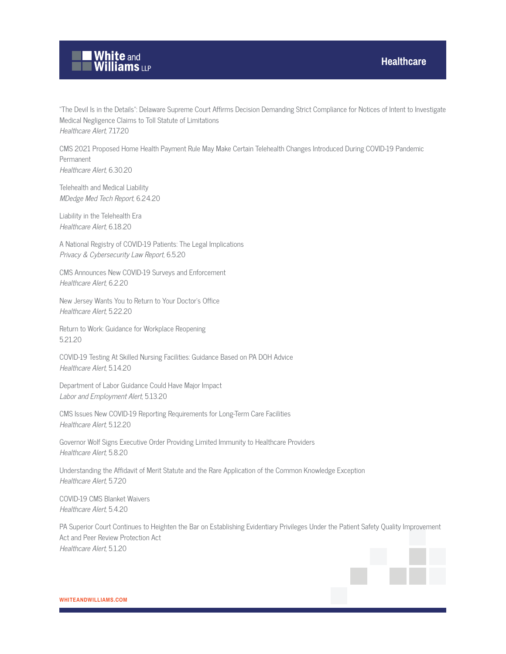

"The Devil Is in the Details": Delaware Supreme Court Affirms Decision Demanding Strict Compliance for Notices of Intent to Investigate Medical Negligence Claims to Toll Statute of Limitations Healthcare Alert, 7.17.20

CMS 2021 Proposed Home Health Payment Rule May Make Certain Telehealth Changes Introduced During COVID-19 Pandemic Permanent Healthcare Alert, 6.30.20

Telehealth and Medical Liability MDedge Med Tech Report, 6.24.20

Liability in the Telehealth Era Healthcare Alert, 6.18.20

A National Registry of COVID-19 Patients: The Legal Implications Privacy & Cybersecurity Law Report, 6.5.20

CMS Announces New COVID-19 Surveys and Enforcement Healthcare Alert, 6.2.20

New Jersey Wants You to Return to Your Doctor's Office Healthcare Alert, 5.22.20

Return to Work: Guidance for Workplace Reopening 5.21.20

COVID-19 Testing At Skilled Nursing Facilities: Guidance Based on PA DOH Advice Healthcare Alert, 5.14.20

Department of Labor Guidance Could Have Major Impact Labor and Employment Alert, 5.13.20

CMS Issues New COVID-19 Reporting Requirements for Long-Term Care Facilities Healthcare Alert, 5.12.20

Governor Wolf Signs Executive Order Providing Limited Immunity to Healthcare Providers Healthcare Alert, 5.8.20

Understanding the Affidavit of Merit Statute and the Rare Application of the Common Knowledge Exception Healthcare Alert, 5.7.20

COVID-19 CMS Blanket Waivers Healthcare Alert, 5.4.20

PA Superior Court Continues to Heighten the Bar on Establishing Evidentiary Privileges Under the Patient Safety Quality Improvement Act and Peer Review Protection Act Healthcare Alert, 5.1.20

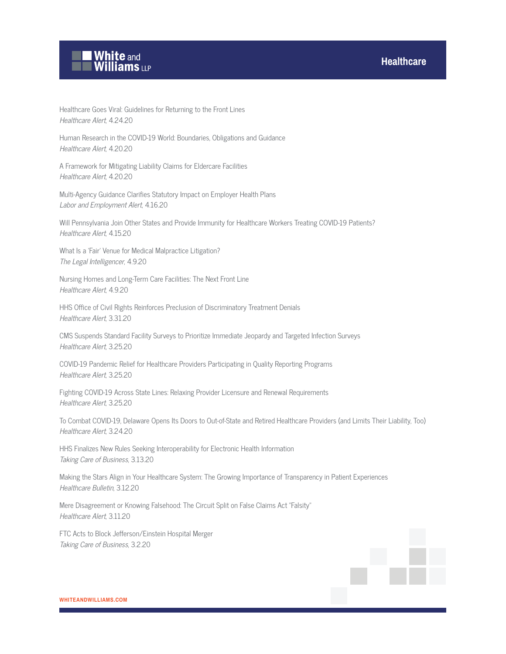

Healthcare Goes Viral: Guidelines for Returning to the Front Lines Healthcare Alert, 4.24.20

Human Research in the COVID-19 World: Boundaries, Obligations and Guidance Healthcare Alert, 4.20.20

A Framework for Mitigating Liability Claims for Eldercare Facilities Healthcare Alert, 4.20.20

Multi-Agency Guidance Clarifies Statutory Impact on Employer Health Plans Labor and Employment Alert, 4.16.20

Will Pennsylvania Join Other States and Provide Immunity for Healthcare Workers Treating COVID-19 Patients? Healthcare Alert, 4.15.20

What Is a 'Fair' Venue for Medical Malpractice Litigation? The Legal Intelligencer, 4.9.20

Nursing Homes and Long-Term Care Facilities: The Next Front Line Healthcare Alert, 4.9.20

HHS Office of Civil Rights Reinforces Preclusion of Discriminatory Treatment Denials Healthcare Alert, 3.31.20

CMS Suspends Standard Facility Surveys to Prioritize Immediate Jeopardy and Targeted Infection Surveys Healthcare Alert, 3.25.20

COVID-19 Pandemic Relief for Healthcare Providers Participating in Quality Reporting Programs Healthcare Alert, 3.25.20

Fighting COVID-19 Across State Lines: Relaxing Provider Licensure and Renewal Requirements Healthcare Alert, 3.25.20

To Combat COVID-19, Delaware Opens Its Doors to Out-of-State and Retired Healthcare Providers (and Limits Their Liability, Too) Healthcare Alert, 3.24.20

HHS Finalizes New Rules Seeking Interoperability for Electronic Health Information Taking Care of Business, 3.13.20

Making the Stars Align in Your Healthcare System: The Growing Importance of Transparency in Patient Experiences Healthcare Bulletin, 3.12.20

Mere Disagreement or Knowing Falsehood: The Circuit Split on False Claims Act "Falsity" Healthcare Alert, 3.11.20

FTC Acts to Block Jefferson/Einstein Hospital Merger Taking Care of Business, 3.2.20

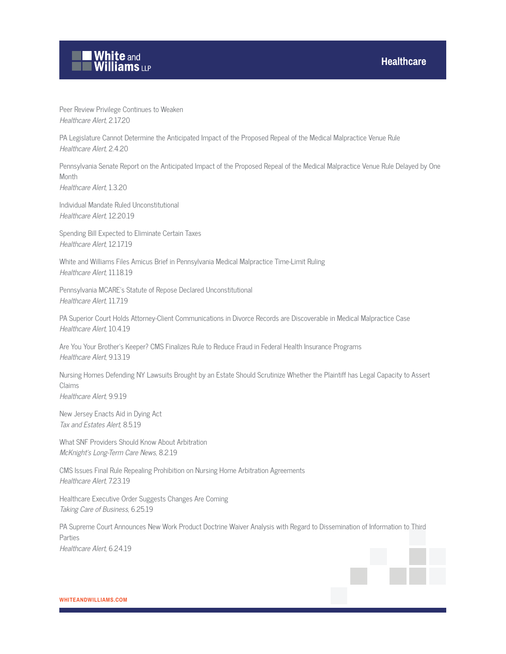## **White and Williams LLP**

Peer Review Privilege Continues to Weaken Healthcare Alert, 2.17.20

PA Legislature Cannot Determine the Anticipated Impact of the Proposed Repeal of the Medical Malpractice Venue Rule Healthcare Alert, 2.4.20

Pennsylvania Senate Report on the Anticipated Impact of the Proposed Repeal of the Medical Malpractice Venue Rule Delayed by One **Month** 

Healthcare Alert, 1.3.20

Individual Mandate Ruled Unconstitutional Healthcare Alert, 12.20.19

Spending Bill Expected to Eliminate Certain Taxes Healthcare Alert, 12.17.19

White and Williams Files Amicus Brief in Pennsylvania Medical Malpractice Time-Limit Ruling Healthcare Alert, 11.18.19

Pennsylvania MCARE's Statute of Repose Declared Unconstitutional Healthcare Alert, 11.7.19

PA Superior Court Holds Attorney-Client Communications in Divorce Records are Discoverable in Medical Malpractice Case Healthcare Alert, 10.4.19

Are You Your Brother's Keeper? CMS Finalizes Rule to Reduce Fraud in Federal Health Insurance Programs Healthcare Alert, 9.13.19

Nursing Homes Defending NY Lawsuits Brought by an Estate Should Scrutinize Whether the Plaintiff has Legal Capacity to Assert Claims Healthcare Alert, 9.9.19

New Jersey Enacts Aid in Dying Act Tax and Estates Alert, 8.5.19

What SNF Providers Should Know About Arbitration McKnight's Long-Term Care News, 8.2.19

CMS Issues Final Rule Repealing Prohibition on Nursing Home Arbitration Agreements Healthcare Alert, 7.23.19

Healthcare Executive Order Suggests Changes Are Coming Taking Care of Business, 6.25.19

PA Supreme Court Announces New Work Product Doctrine Waiver Analysis with Regard to Dissemination of Information to Third Parties Healthcare Alert, 6.24.19

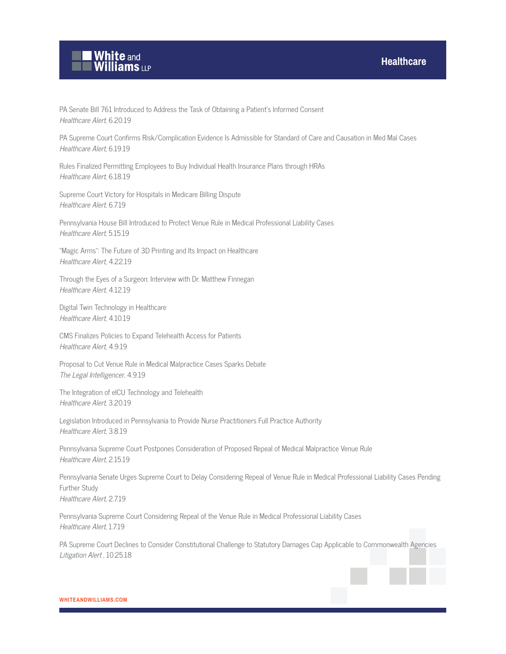

PA Senate Bill 761 Introduced to Address the Task of Obtaining a Patient's Informed Consent Healthcare Alert, 6.20.19

PA Supreme Court Confirms Risk/Complication Evidence Is Admissible for Standard of Care and Causation in Med Mal Cases Healthcare Alert, 6.19.19

Rules Finalized Permitting Employees to Buy Individual Health Insurance Plans through HRAs Healthcare Alert, 6.18.19

Supreme Court Victory for Hospitals in Medicare Billing Dispute Healthcare Alert, 6.7.19

Pennsylvania House Bill Introduced to Protect Venue Rule in Medical Professional Liability Cases Healthcare Alert, 5.15.19

"Magic Arms": The Future of 3D Printing and Its Impact on Healthcare Healthcare Alert, 4.22.19

Through the Eyes of a Surgeon: Interview with Dr. Matthew Finnegan Healthcare Alert, 4.12.19

Digital Twin Technology in Healthcare Healthcare Alert, 4.10.19

CMS Finalizes Policies to Expand Telehealth Access for Patients Healthcare Alert, 4.9.19

Proposal to Cut Venue Rule in Medical Malpractice Cases Sparks Debate The Legal Intelligencer, 4.9.19

The Integration of eICU Technology and Telehealth Healthcare Alert, 3.20.19

Legislation Introduced in Pennsylvania to Provide Nurse Practitioners Full Practice Authority Healthcare Alert, 3.8.19

Pennsylvania Supreme Court Postpones Consideration of Proposed Repeal of Medical Malpractice Venue Rule Healthcare Alert, 2.15.19

Pennsylvania Senate Urges Supreme Court to Delay Considering Repeal of Venue Rule in Medical Professional Liability Cases Pending Further Study Healthcare Alert, 2.7.19

Pennsylvania Supreme Court Considering Repeal of the Venue Rule in Medical Professional Liability Cases Healthcare Alert, 1.7.19

PA Supreme Court Declines to Consider Constitutional Challenge to Statutory Damages Cap Applicable to Commonwealth Agencies Litigation Alert, 10.25.18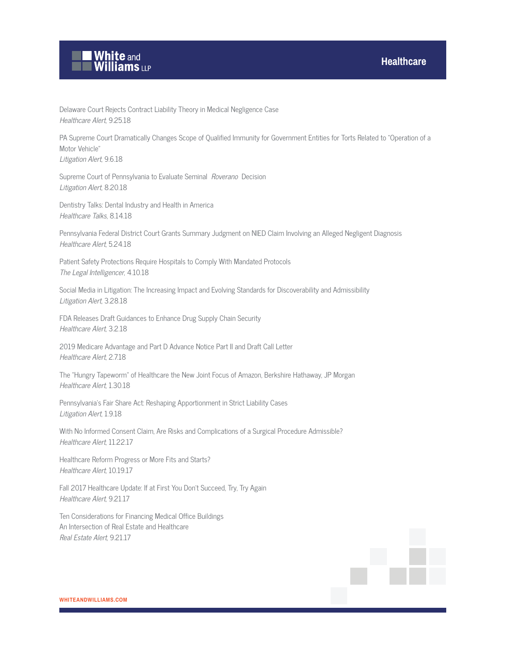

Litigation Alert, 8.20.18

Delaware Court Rejects Contract Liability Theory in Medical Negligence Case Healthcare Alert, 9.25.18

PA Supreme Court Dramatically Changes Scope of Qualified Immunity for Government Entities for Torts Related to "Operation of a Motor Vehicle" Litigation Alert, 9.6.18

Supreme Court of Pennsylvania to Evaluate Seminal Roverano Decision

Dentistry Talks: Dental Industry and Health in America Healthcare Talks, 8.14.18

Pennsylvania Federal District Court Grants Summary Judgment on NIED Claim Involving an Alleged Negligent Diagnosis Healthcare Alert, 5.24.18

Patient Safety Protections Require Hospitals to Comply With Mandated Protocols The Legal Intelligencer, 4.10.18

Social Media in Litigation: The Increasing Impact and Evolving Standards for Discoverability and Admissibility Litigation Alert, 3.28.18

FDA Releases Draft Guidances to Enhance Drug Supply Chain Security Healthcare Alert, 3.2.18

2019 Medicare Advantage and Part D Advance Notice Part II and Draft Call Letter Healthcare Alert, 2.7.18

The "Hungry Tapeworm" of Healthcare the New Joint Focus of Amazon, Berkshire Hathaway, JP Morgan Healthcare Alert, 1.30.18

Pennsylvania's Fair Share Act: Reshaping Apportionment in Strict Liability Cases Litigation Alert, 1.9.18

With No Informed Consent Claim, Are Risks and Complications of a Surgical Procedure Admissible? Healthcare Alert, 11.22.17

Healthcare Reform Progress or More Fits and Starts? Healthcare Alert, 10.19.17

Fall 2017 Healthcare Update: If at First You Don't Succeed, Try, Try Again Healthcare Alert, 9.21.17

Ten Considerations for Financing Medical Office Buildings An Intersection of Real Estate and Healthcare Real Estate Alert, 9.21.17

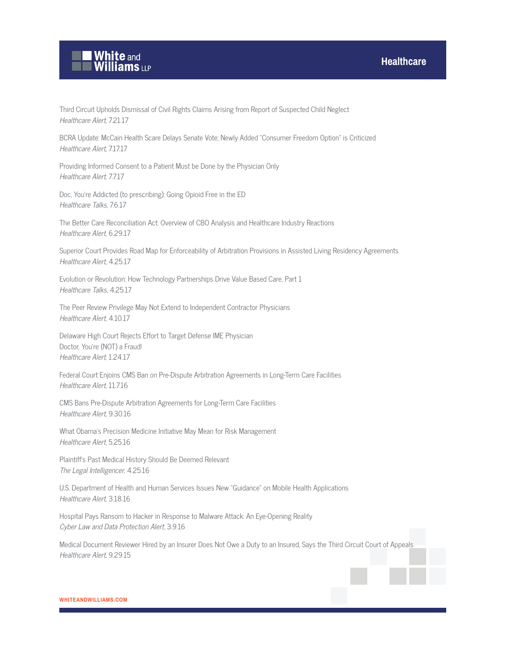

Third Circuit Upholds Dismissal of Civil Rights Claims Arising from Report of Suspected Child Neglect Healthcare Alert, 7.21.17

BCRA Update: McCain Health Scare Delays Senate Vote; Newly Added "Consumer Freedom Option" is Criticized Healthcare Alert, 7.17.17

Providing Informed Consent to a Patient Must be Done by the Physician Only Healthcare Alert, 7.7.17

Doc, You're Addicted (to prescribing): Going Opioid Free in the ED Healthcare Talks, 7.6.17

The Better Care Reconciliation Act: Overview of CBO Analysis and Healthcare Industry Reactions Healthcare Alert, 6.29.17

Superior Court Provides Road Map for Enforceability of Arbitration Provisions in Assisted Living Residency Agreements Healthcare Alert, 4.25.17

Evolution or Revolution: How Technology Partnerships Drive Value Based Care, Part 1 Healthcare Talks, 4.25.17

The Peer Review Privilege May Not Extend to Independent Contractor Physicians Healthcare Alert, 4.10.17

Delaware High Court Rejects Effort to Target Defense IME Physician Doctor, You're (NOT) a Fraud! Healthcare Alert, 1.24.17

Federal Court Enjoins CMS Ban on Pre-Dispute Arbitration Agreements in Long-Term Care Facilities Healthcare Alert, 11.7.16

CMS Bans Pre-Dispute Arbitration Agreements for Long-Term Care Facilities Healthcare Alert, 9.30.16

What Obama's Precision Medicine Initiative May Mean for Risk Management Healthcare Alert, 5.25.16

Plaintiff's Past Medical History Should Be Deemed Relevant The Legal Intelligencer, 4.25.16

U.S. Department of Health and Human Services Issues New "Guidance" on Mobile Health Applications Healthcare Alert, 3.18.16

Hospital Pays Ransom to Hacker in Response to Malware Attack: An Eye-Opening Reality Cyber Law and Data Protection Alert, 3.9.16

Medical Document Reviewer Hired by an Insurer Does Not Owe a Duty to an Insured, Says the Third Circuit Court of Appeals Healthcare Alert, 9.29.15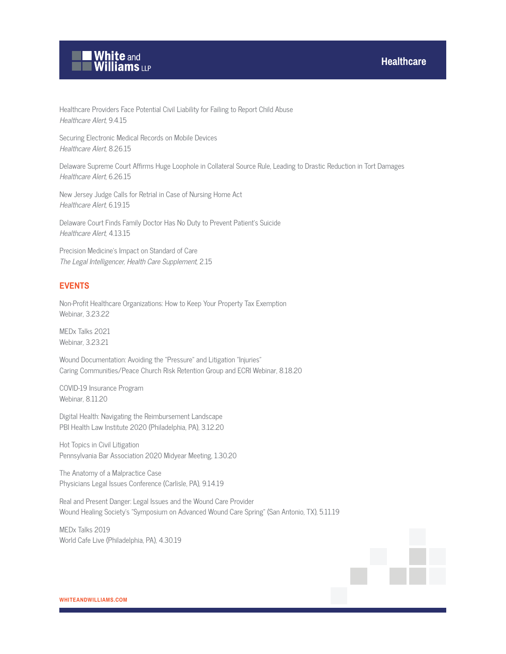

Healthcare Providers Face Potential Civil Liability for Failing to Report Child Abuse Healthcare Alert, 9.4.15

Securing Electronic Medical Records on Mobile Devices Healthcare Alert, 8.26.15

Delaware Supreme Court Affirms Huge Loophole in Collateral Source Rule, Leading to Drastic Reduction in Tort Damages Healthcare Alert, 6.26.15

New Jersey Judge Calls for Retrial in Case of Nursing Home Act Healthcare Alert, 6.19.15

Delaware Court Finds Family Doctor Has No Duty to Prevent Patient's Suicide Healthcare Alert, 4.13.15

Precision Medicine's Impact on Standard of Care The Legal Intelligencer, Health Care Supplement, 2.15

#### **EVENTS**

Non-Profit Healthcare Organizations: How to Keep Your Property Tax Exemption Webinar, 3.23.22

MEDx Talks 2021 Webinar, 3.23.21

Wound Documentation: Avoiding the "Pressure" and Litigation "Injuries" Caring Communities/Peace Church Risk Retention Group and ECRI Webinar, 8.18.20

COVID-19 Insurance Program Webinar, 8.11.20

Digital Health: Navigating the Reimbursement Landscape PBI Health Law Institute 2020 (Philadelphia, PA), 3.12.20

Hot Topics in Civil Litigation Pennsylvania Bar Association 2020 Midyear Meeting, 1.30.20

The Anatomy of a Malpractice Case Physicians Legal Issues Conference (Carlisle, PA), 9.14.19

Real and Present Danger: Legal Issues and the Wound Care Provider Wound Healing Society's "Symposium on Advanced Wound Care Spring" (San Antonio, TX), 5.11.19

MEDx Talks 2019 World Cafe Live (Philadelphia, PA), 4.30.19

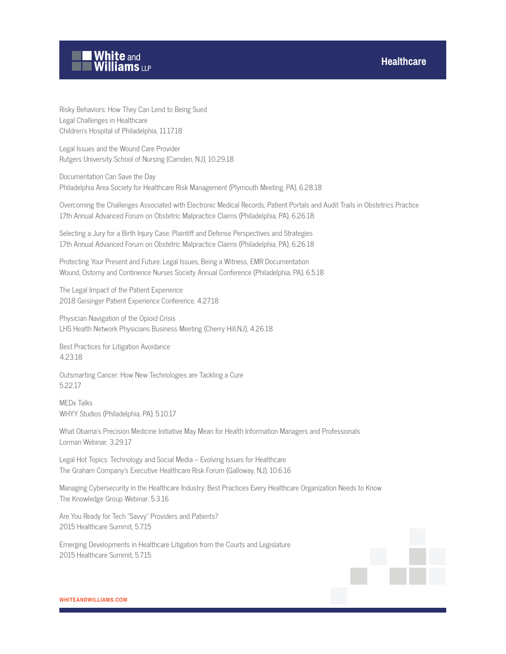

Risky Behaviors: How They Can Lend to Being Sued Legal Challenges in Healthcare Children's Hospital of Philadelphia, 11.17.18

Legal Issues and the Wound Care Provider Rutgers University School of Nursing (Camden, NJ), 10.29.18

Documentation Can Save the Day Philadelphia Area Society for Healthcare Risk Management (Plymouth Meeting, PA), 6.28.18

Overcoming the Challenges Associated with Electronic Medical Records, Patient Portals and Audit Trails in Obstetrics Practice 17th Annual Advanced Forum on Obstetric Malpractice Claims (Philadelphia, PA), 6.26.18

Selecting a Jury for a Birth Injury Case: Plaintiff and Defense Perspectives and Strategies 17th Annual Advanced Forum on Obstetric Malpractice Claims (Philadelphia, PA), 6.26.18

Protecting Your Present and Future: Legal Issues, Being a Witness, EMR Documentation Wound, Ostomy and Continence Nurses Society Annual Conference (Philadelphia, PA), 6.5.18

The Legal Impact of the Patient Experience 2018 Geisinger Patient Experience Conference, 4.27.18

Physician Navigation of the Opioid Crisis LHS Health Network Physicians Business Meeting (Cherry Hill,NJ), 4.26.18

Best Practices for Litigation Avoidance 4.23.18

Outsmarting Cancer: How New Technologies are Tackling a Cure 5.22.17

MEDx Talks WHYY Studios (Philadelphia, PA), 5.10.17

What Obama's Precision Medicine Initiative May Mean for Health Information Managers and Professionals Lorman Webinar, 3.29.17

Legal Hot Topics: Technology and Social Media – Evolving Issues for Healthcare The Graham Company's Executive Healthcare Risk Forum (Galloway, NJ), 10.6.16

Managing Cybersecurity in the Healthcare Industry: Best Practices Every Healthcare Organization Needs to Know The Knowledge Group Webinar, 5.3.16

Are You Ready for Tech "Savvy" Providers and Patients? 2015 Healthcare Summit, 5.7.15

Emerging Developments in Healthcare Litigation from the Courts and Legislature 2015 Healthcare Summit, 5.7.15